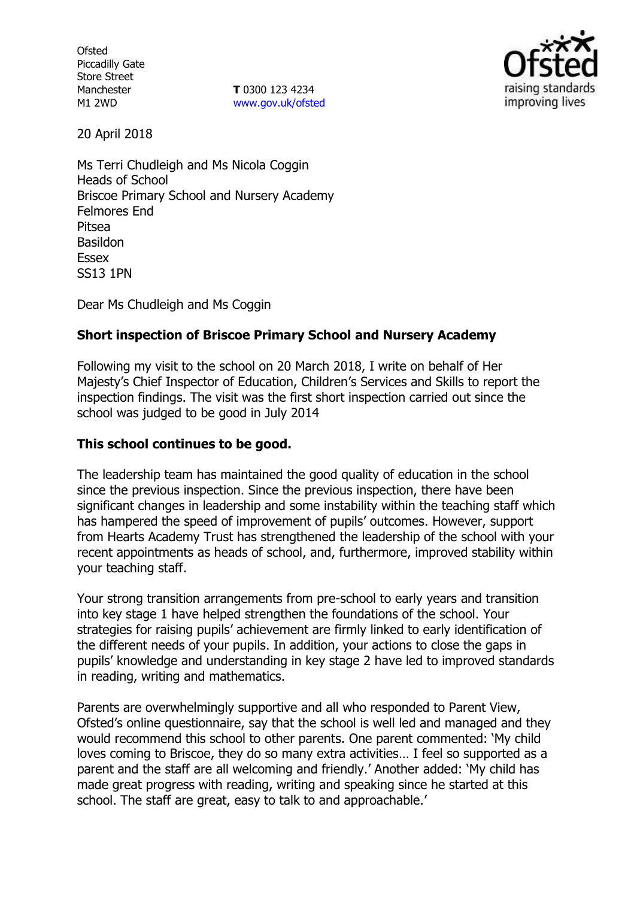**Ofsted** Piccadilly Gate Store Street Manchester M1 2WD

**T** 0300 123 4234 www.gov.uk/ofsted



20 April 2018

Ms Terri Chudleigh and Ms Nicola Coggin Heads of School Briscoe Primary School and Nursery Academy Felmores End Pitsea Basildon Essex SS13 1PN

Dear Ms Chudleigh and Ms Coggin

# **Short inspection of Briscoe Primary School and Nursery Academy**

Following my visit to the school on 20 March 2018, I write on behalf of Her Majesty's Chief Inspector of Education, Children's Services and Skills to report the inspection findings. The visit was the first short inspection carried out since the school was judged to be good in July 2014

## **This school continues to be good.**

The leadership team has maintained the good quality of education in the school since the previous inspection. Since the previous inspection, there have been significant changes in leadership and some instability within the teaching staff which has hampered the speed of improvement of pupils' outcomes. However, support from Hearts Academy Trust has strengthened the leadership of the school with your recent appointments as heads of school, and, furthermore, improved stability within your teaching staff.

Your strong transition arrangements from pre-school to early years and transition into key stage 1 have helped strengthen the foundations of the school. Your strategies for raising pupils' achievement are firmly linked to early identification of the different needs of your pupils. In addition, your actions to close the gaps in pupils' knowledge and understanding in key stage 2 have led to improved standards in reading, writing and mathematics.

Parents are overwhelmingly supportive and all who responded to Parent View, Ofsted's online questionnaire, say that the school is well led and managed and they would recommend this school to other parents. One parent commented: 'My child loves coming to Briscoe, they do so many extra activities… I feel so supported as a parent and the staff are all welcoming and friendly.' Another added: 'My child has made great progress with reading, writing and speaking since he started at this school. The staff are great, easy to talk to and approachable.'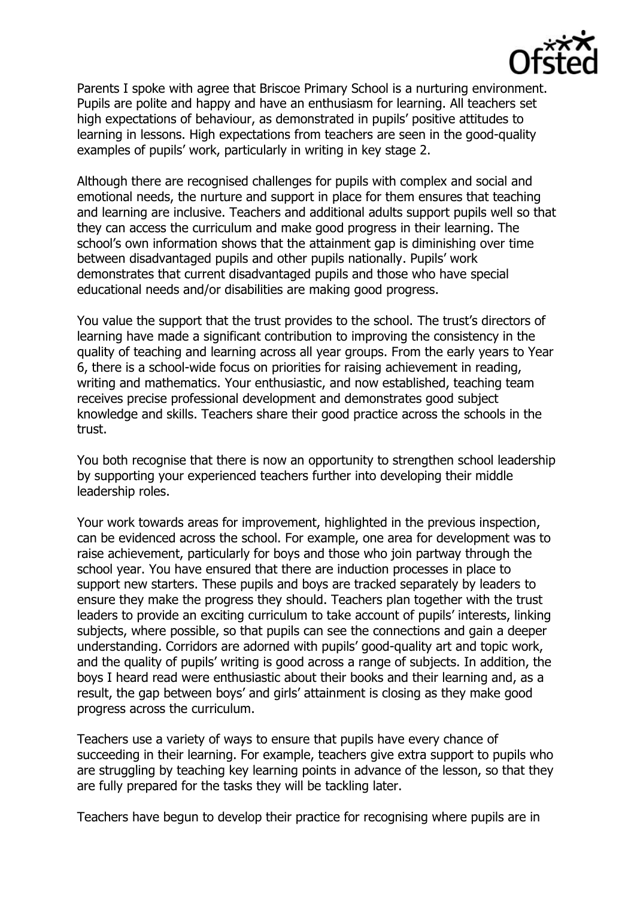

Parents I spoke with agree that Briscoe Primary School is a nurturing environment. Pupils are polite and happy and have an enthusiasm for learning. All teachers set high expectations of behaviour, as demonstrated in pupils' positive attitudes to learning in lessons. High expectations from teachers are seen in the good-quality examples of pupils' work, particularly in writing in key stage 2.

Although there are recognised challenges for pupils with complex and social and emotional needs, the nurture and support in place for them ensures that teaching and learning are inclusive. Teachers and additional adults support pupils well so that they can access the curriculum and make good progress in their learning. The school's own information shows that the attainment gap is diminishing over time between disadvantaged pupils and other pupils nationally. Pupils' work demonstrates that current disadvantaged pupils and those who have special educational needs and/or disabilities are making good progress.

You value the support that the trust provides to the school. The trust's directors of learning have made a significant contribution to improving the consistency in the quality of teaching and learning across all year groups. From the early years to Year 6, there is a school-wide focus on priorities for raising achievement in reading, writing and mathematics. Your enthusiastic, and now established, teaching team receives precise professional development and demonstrates good subject knowledge and skills. Teachers share their good practice across the schools in the trust.

You both recognise that there is now an opportunity to strengthen school leadership by supporting your experienced teachers further into developing their middle leadership roles.

Your work towards areas for improvement, highlighted in the previous inspection, can be evidenced across the school. For example, one area for development was to raise achievement, particularly for boys and those who join partway through the school year. You have ensured that there are induction processes in place to support new starters. These pupils and boys are tracked separately by leaders to ensure they make the progress they should. Teachers plan together with the trust leaders to provide an exciting curriculum to take account of pupils' interests, linking subjects, where possible, so that pupils can see the connections and gain a deeper understanding. Corridors are adorned with pupils' good-quality art and topic work, and the quality of pupils' writing is good across a range of subjects. In addition, the boys I heard read were enthusiastic about their books and their learning and, as a result, the gap between boys' and girls' attainment is closing as they make good progress across the curriculum.

Teachers use a variety of ways to ensure that pupils have every chance of succeeding in their learning. For example, teachers give extra support to pupils who are struggling by teaching key learning points in advance of the lesson, so that they are fully prepared for the tasks they will be tackling later.

Teachers have begun to develop their practice for recognising where pupils are in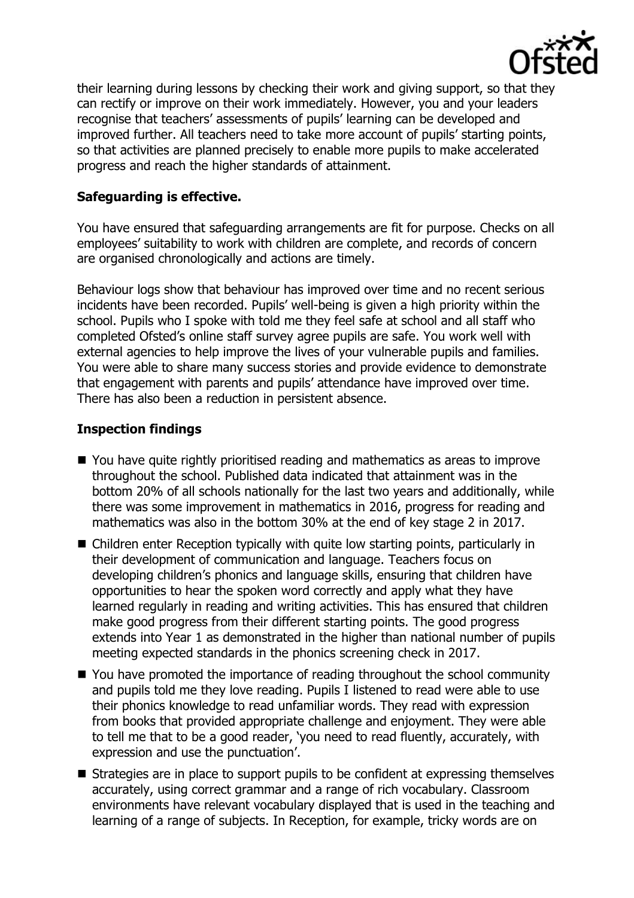

their learning during lessons by checking their work and giving support, so that they can rectify or improve on their work immediately. However, you and your leaders recognise that teachers' assessments of pupils' learning can be developed and improved further. All teachers need to take more account of pupils' starting points, so that activities are planned precisely to enable more pupils to make accelerated progress and reach the higher standards of attainment.

## **Safeguarding is effective.**

You have ensured that safeguarding arrangements are fit for purpose. Checks on all employees' suitability to work with children are complete, and records of concern are organised chronologically and actions are timely.

Behaviour logs show that behaviour has improved over time and no recent serious incidents have been recorded. Pupils' well-being is given a high priority within the school. Pupils who I spoke with told me they feel safe at school and all staff who completed Ofsted's online staff survey agree pupils are safe. You work well with external agencies to help improve the lives of your vulnerable pupils and families. You were able to share many success stories and provide evidence to demonstrate that engagement with parents and pupils' attendance have improved over time. There has also been a reduction in persistent absence.

### **Inspection findings**

- You have quite rightly prioritised reading and mathematics as areas to improve throughout the school. Published data indicated that attainment was in the bottom 20% of all schools nationally for the last two years and additionally, while there was some improvement in mathematics in 2016, progress for reading and mathematics was also in the bottom 30% at the end of key stage 2 in 2017.
- Children enter Reception typically with quite low starting points, particularly in their development of communication and language. Teachers focus on developing children's phonics and language skills, ensuring that children have opportunities to hear the spoken word correctly and apply what they have learned regularly in reading and writing activities. This has ensured that children make good progress from their different starting points. The good progress extends into Year 1 as demonstrated in the higher than national number of pupils meeting expected standards in the phonics screening check in 2017.
- You have promoted the importance of reading throughout the school community and pupils told me they love reading. Pupils I listened to read were able to use their phonics knowledge to read unfamiliar words. They read with expression from books that provided appropriate challenge and enjoyment. They were able to tell me that to be a good reader, 'you need to read fluently, accurately, with expression and use the punctuation'.
- Strategies are in place to support pupils to be confident at expressing themselves accurately, using correct grammar and a range of rich vocabulary. Classroom environments have relevant vocabulary displayed that is used in the teaching and learning of a range of subjects. In Reception, for example, tricky words are on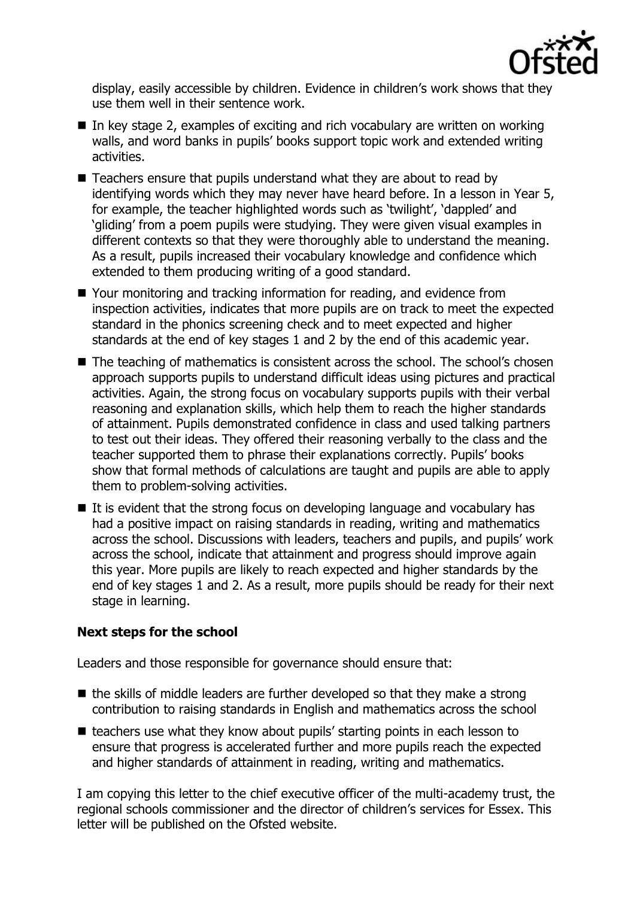

display, easily accessible by children. Evidence in children's work shows that they use them well in their sentence work.

- $\blacksquare$  In key stage 2, examples of exciting and rich vocabulary are written on working walls, and word banks in pupils' books support topic work and extended writing activities.
- $\blacksquare$  Teachers ensure that pupils understand what they are about to read by identifying words which they may never have heard before. In a lesson in Year 5, for example, the teacher highlighted words such as 'twilight', 'dappled' and 'gliding' from a poem pupils were studying. They were given visual examples in different contexts so that they were thoroughly able to understand the meaning. As a result, pupils increased their vocabulary knowledge and confidence which extended to them producing writing of a good standard.
- Your monitoring and tracking information for reading, and evidence from inspection activities, indicates that more pupils are on track to meet the expected standard in the phonics screening check and to meet expected and higher standards at the end of key stages 1 and 2 by the end of this academic year.
- The teaching of mathematics is consistent across the school. The school's chosen approach supports pupils to understand difficult ideas using pictures and practical activities. Again, the strong focus on vocabulary supports pupils with their verbal reasoning and explanation skills, which help them to reach the higher standards of attainment. Pupils demonstrated confidence in class and used talking partners to test out their ideas. They offered their reasoning verbally to the class and the teacher supported them to phrase their explanations correctly. Pupils' books show that formal methods of calculations are taught and pupils are able to apply them to problem-solving activities.
- $\blacksquare$  It is evident that the strong focus on developing language and vocabulary has had a positive impact on raising standards in reading, writing and mathematics across the school. Discussions with leaders, teachers and pupils, and pupils' work across the school, indicate that attainment and progress should improve again this year. More pupils are likely to reach expected and higher standards by the end of key stages 1 and 2. As a result, more pupils should be ready for their next stage in learning.

### **Next steps for the school**

Leaders and those responsible for governance should ensure that:

- $\blacksquare$  the skills of middle leaders are further developed so that they make a strong contribution to raising standards in English and mathematics across the school
- teachers use what they know about pupils' starting points in each lesson to ensure that progress is accelerated further and more pupils reach the expected and higher standards of attainment in reading, writing and mathematics.

I am copying this letter to the chief executive officer of the multi-academy trust, the regional schools commissioner and the director of children's services for Essex. This letter will be published on the Ofsted website.